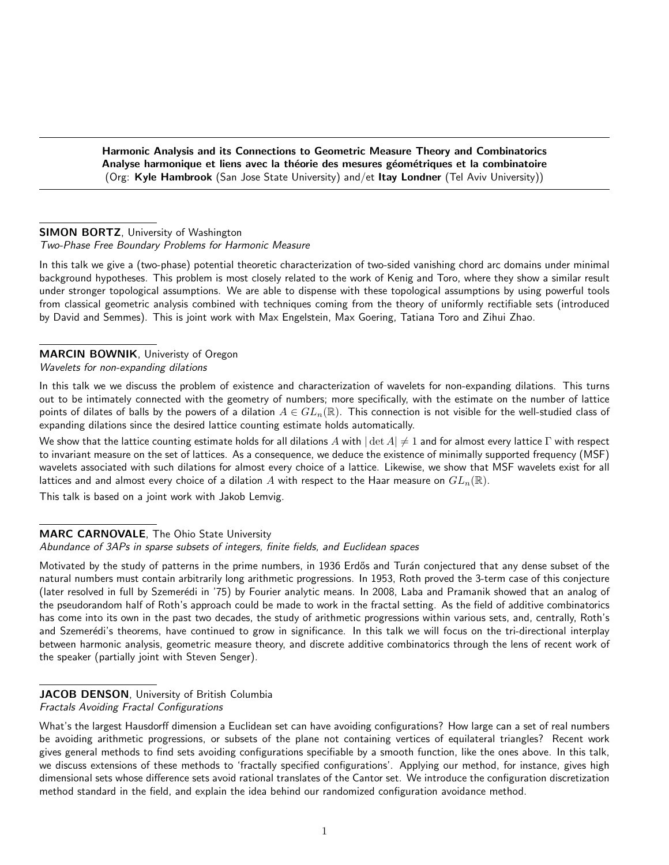Harmonic Analysis and its Connections to Geometric Measure Theory and Combinatorics Analyse harmonique et liens avec la théorie des mesures géométriques et la combinatoire (Org: Kyle Hambrook (San Jose State University) and/et Itay Londner (Tel Aviv University))

# **SIMON BORTZ**, University of Washington

### Two-Phase Free Boundary Problems for Harmonic Measure

In this talk we give a (two-phase) potential theoretic characterization of two-sided vanishing chord arc domains under minimal background hypotheses. This problem is most closely related to the work of Kenig and Toro, where they show a similar result under stronger topological assumptions. We are able to dispense with these topological assumptions by using powerful tools from classical geometric analysis combined with techniques coming from the theory of uniformly rectifiable sets (introduced by David and Semmes). This is joint work with Max Engelstein, Max Goering, Tatiana Toro and Zihui Zhao.

#### MARCIN BOWNIK, Univeristy of Oregon Wavelets for non-expanding dilations

In this talk we we discuss the problem of existence and characterization of wavelets for non-expanding dilations. This turns out to be intimately connected with the geometry of numbers; more specifically, with the estimate on the number of lattice points of dilates of balls by the powers of a dilation  $A \in GL_n(\mathbb{R})$ . This connection is not visible for the well-studied class of expanding dilations since the desired lattice counting estimate holds automatically.

We show that the lattice counting estimate holds for all dilations A with  $|\det A| \neq 1$  and for almost every lattice  $\Gamma$  with respect to invariant measure on the set of lattices. As a consequence, we deduce the existence of minimally supported frequency (MSF) wavelets associated with such dilations for almost every choice of a lattice. Likewise, we show that MSF wavelets exist for all lattices and and almost every choice of a dilation A with respect to the Haar measure on  $GL_n(\mathbb{R})$ .

This talk is based on a joint work with Jakob Lemvig.

#### MARC CARNOVALE, The Ohio State University

#### Abundance of 3APs in sparse subsets of integers, finite fields, and Euclidean spaces

Motivated by the study of patterns in the prime numbers, in 1936 Erdős and Turán conjectured that any dense subset of the natural numbers must contain arbitrarily long arithmetic progressions. In 1953, Roth proved the 3-term case of this conjecture (later resolved in full by Szemerédi in '75) by Fourier analytic means. In 2008, Laba and Pramanik showed that an analog of the pseudorandom half of Roth's approach could be made to work in the fractal setting. As the field of additive combinatorics has come into its own in the past two decades, the study of arithmetic progressions within various sets, and, centrally, Roth's and Szemerédi's theorems, have continued to grow in significance. In this talk we will focus on the tri-directional interplay between harmonic analysis, geometric measure theory, and discrete additive combinatorics through the lens of recent work of the speaker (partially joint with Steven Senger).

# JACOB DENSON, University of British Columbia

#### Fractals Avoiding Fractal Configurations

What's the largest Hausdorff dimension a Euclidean set can have avoiding configurations? How large can a set of real numbers be avoiding arithmetic progressions, or subsets of the plane not containing vertices of equilateral triangles? Recent work gives general methods to find sets avoiding configurations specifiable by a smooth function, like the ones above. In this talk, we discuss extensions of these methods to 'fractally specified configurations'. Applying our method, for instance, gives high dimensional sets whose difference sets avoid rational translates of the Cantor set. We introduce the configuration discretization method standard in the field, and explain the idea behind our randomized configuration avoidance method.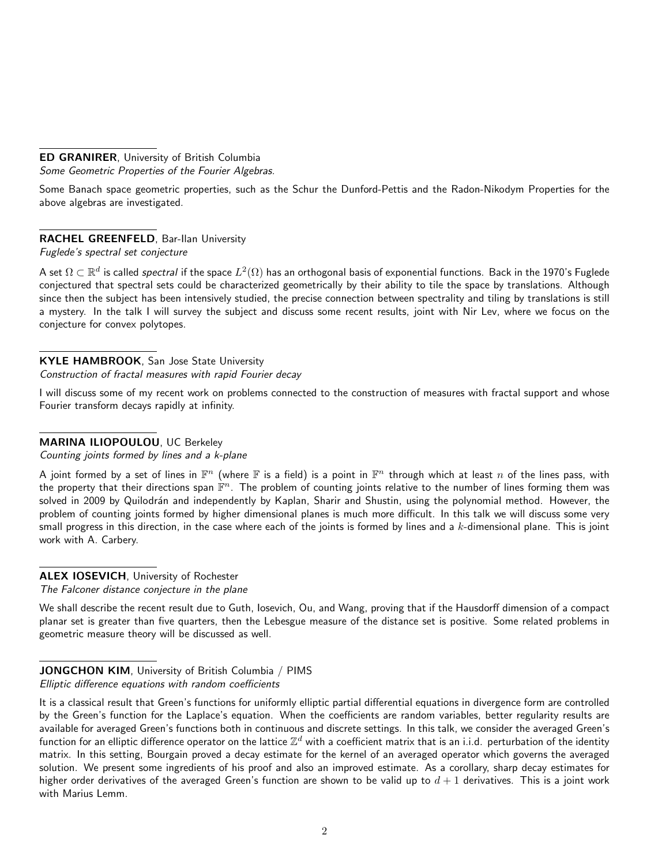## ED GRANIRER, University of British Columbia

Some Geometric Properties of the Fourier Algebras.

Some Banach space geometric properties, such as the Schur the Dunford-Pettis and the Radon-Nikodym Properties for the above algebras are investigated.

## RACHEL GREENFELD, Bar-Ilan University

Fuglede's spectral set conjecture

A set  $\Omega\subset\mathbb{R}^d$  is called *spectral i*f the space  $L^2(\Omega)$  has an orthogonal basis of exponential functions. Back in the 1970's Fuglede conjectured that spectral sets could be characterized geometrically by their ability to tile the space by translations. Although since then the subject has been intensively studied, the precise connection between spectrality and tiling by translations is still a mystery. In the talk I will survey the subject and discuss some recent results, joint with Nir Lev, where we focus on the conjecture for convex polytopes.

#### KYLE HAMBROOK, San Jose State University Construction of fractal measures with rapid Fourier decay

I will discuss some of my recent work on problems connected to the construction of measures with fractal support and whose Fourier transform decays rapidly at infinity.

## MARINA ILIOPOULOU, UC Berkeley

Counting joints formed by lines and a k-plane

A joint formed by a set of lines in  $\mathbb{F}^n$  (where  $\mathbb F$  is a field) is a point in  $\mathbb{F}^n$  through which at least  $n$  of the lines pass, with the property that their directions span  $\bar{\mathbb{F}}^n$ . The problem of counting joints relative to the number of lines forming them was solved in 2009 by Quilodrán and independently by Kaplan, Sharir and Shustin, using the polynomial method. However, the problem of counting joints formed by higher dimensional planes is much more difficult. In this talk we will discuss some very small progress in this direction, in the case where each of the joints is formed by lines and a  $k$ -dimensional plane. This is joint work with A. Carbery.

## ALEX IOSEVICH, University of Rochester

The Falconer distance conjecture in the plane

We shall describe the recent result due to Guth, Iosevich, Ou, and Wang, proving that if the Hausdorff dimension of a compact planar set is greater than five quarters, then the Lebesgue measure of the distance set is positive. Some related problems in geometric measure theory will be discussed as well.

#### JONGCHON KIM, University of British Columbia / PIMS Elliptic difference equations with random coefficients

It is a classical result that Green's functions for uniformly elliptic partial differential equations in divergence form are controlled by the Green's function for the Laplace's equation. When the coefficients are random variables, better regularity results are available for averaged Green's functions both in continuous and discrete settings. In this talk, we consider the averaged Green's function for an elliptic difference operator on the lattice  $\Z^d$  with a coefficient matrix that is an i.i.d. perturbation of the identity matrix. In this setting, Bourgain proved a decay estimate for the kernel of an averaged operator which governs the averaged solution. We present some ingredients of his proof and also an improved estimate. As a corollary, sharp decay estimates for higher order derivatives of the averaged Green's function are shown to be valid up to  $d+1$  derivatives. This is a joint work with Marius Lemm.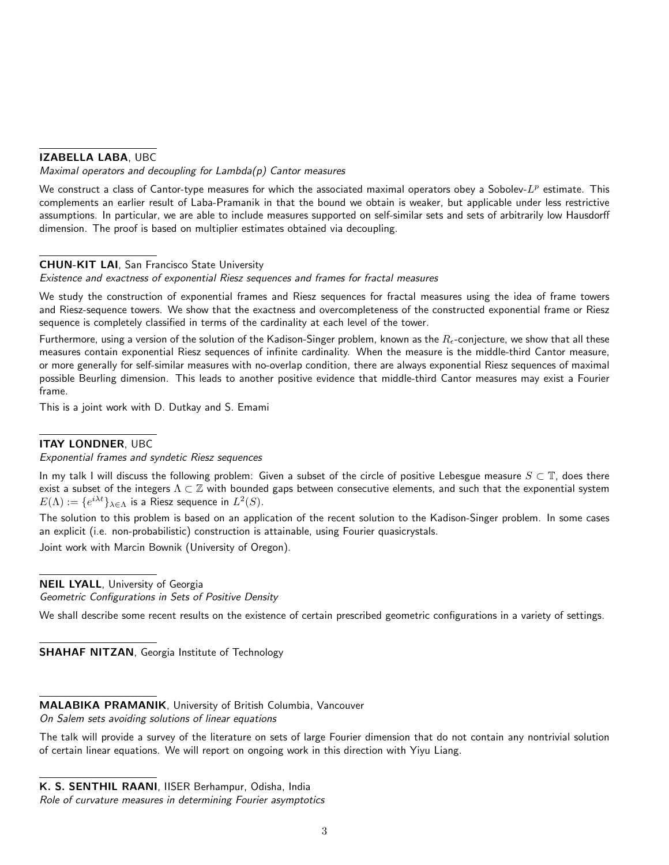### IZABELLA LABA, UBC

#### Maximal operators and decoupling for  $Lambda(p)$  Cantor measures

We construct a class of Cantor-type measures for which the associated maximal operators obey a Sobolev- $L^p$  estimate. This complements an earlier result of Laba-Pramanik in that the bound we obtain is weaker, but applicable under less restrictive assumptions. In particular, we are able to include measures supported on self-similar sets and sets of arbitrarily low Hausdorff dimension. The proof is based on multiplier estimates obtained via decoupling.

## CHUN-KIT LAI, San Francisco State University

Existence and exactness of exponential Riesz sequences and frames for fractal measures

We study the construction of exponential frames and Riesz sequences for fractal measures using the idea of frame towers and Riesz-sequence towers. We show that the exactness and overcompleteness of the constructed exponential frame or Riesz sequence is completely classified in terms of the cardinality at each level of the tower.

Furthermore, using a version of the solution of the Kadison-Singer problem, known as the  $R_{\epsilon}$ -conjecture, we show that all these measures contain exponential Riesz sequences of infinite cardinality. When the measure is the middle-third Cantor measure, or more generally for self-similar measures with no-overlap condition, there are always exponential Riesz sequences of maximal possible Beurling dimension. This leads to another positive evidence that middle-third Cantor measures may exist a Fourier frame.

This is a joint work with D. Dutkay and S. Emami

## ITAY LONDNER, UBC

Exponential frames and syndetic Riesz sequences

In my talk I will discuss the following problem: Given a subset of the circle of positive Lebesgue measure  $S \subset \mathbb{T}$ , does there exist a subset of the integers  $\Lambda \subset \mathbb{Z}$  with bounded gaps between consecutive elements, and such that the exponential system  $E(\Lambda):=\{e^{i\lambda t}\}_{\lambda\in\Lambda}$  is a Riesz sequence in  $L^2(S).$ 

The solution to this problem is based on an application of the recent solution to the Kadison-Singer problem. In some cases an explicit (i.e. non-probabilistic) construction is attainable, using Fourier quasicrystals.

Joint work with Marcin Bownik (University of Oregon).

NEIL LYALL, University of Georgia

Geometric Configurations in Sets of Positive Density

We shall describe some recent results on the existence of certain prescribed geometric configurations in a variety of settings.

**SHAHAF NITZAN, Georgia Institute of Technology** 

MALABIKA PRAMANIK, University of British Columbia, Vancouver

On Salem sets avoiding solutions of linear equations

The talk will provide a survey of the literature on sets of large Fourier dimension that do not contain any nontrivial solution of certain linear equations. We will report on ongoing work in this direction with Yiyu Liang.

K. S. SENTHIL RAANI, IISER Berhampur, Odisha, India

Role of curvature measures in determining Fourier asymptotics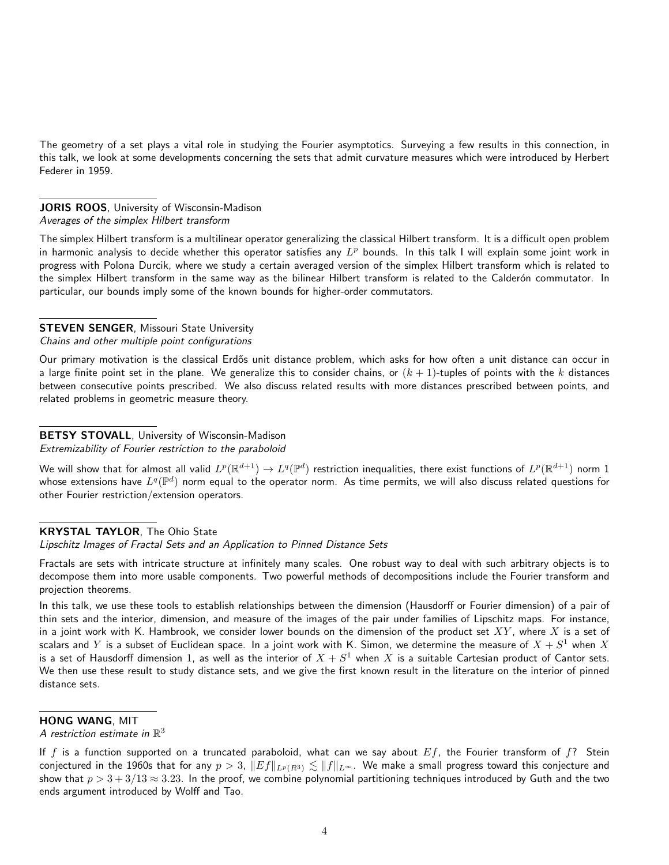The geometry of a set plays a vital role in studying the Fourier asymptotics. Surveying a few results in this connection, in this talk, we look at some developments concerning the sets that admit curvature measures which were introduced by Herbert Federer in 1959.

#### JORIS ROOS, University of Wisconsin-Madison Averages of the simplex Hilbert transform

The simplex Hilbert transform is a multilinear operator generalizing the classical Hilbert transform. It is a difficult open problem in harmonic analysis to decide whether this operator satisfies any  $L^p$  bounds. In this talk I will explain some joint work in progress with Polona Durcik, where we study a certain averaged version of the simplex Hilbert transform which is related to the simplex Hilbert transform in the same way as the bilinear Hilbert transform is related to the Calderón commutator. In particular, our bounds imply some of the known bounds for higher-order commutators.

#### **STEVEN SENGER, Missouri State University**

#### Chains and other multiple point configurations

Our primary motivation is the classical Erdős unit distance problem, which asks for how often a unit distance can occur in a large finite point set in the plane. We generalize this to consider chains, or  $(k + 1)$ -tuples of points with the k distances between consecutive points prescribed. We also discuss related results with more distances prescribed between points, and related problems in geometric measure theory.

#### BETSY STOVALL, University of Wisconsin-Madison

Extremizability of Fourier restriction to the paraboloid

We will show that for almost all valid  $L^p(\R^{d+1})\to L^q(\R^d)$  restriction inequalities, there exist functions of  $L^p(\R^{d+1})$  norm  $1$ whose extensions have  $L^q(\mathbb{P}^d)$  norm equal to the operator norm. As time permits, we will also discuss related questions for other Fourier restriction/extension operators.

#### KRYSTAL TAYLOR, The Ohio State

Lipschitz Images of Fractal Sets and an Application to Pinned Distance Sets

Fractals are sets with intricate structure at infinitely many scales. One robust way to deal with such arbitrary objects is to decompose them into more usable components. Two powerful methods of decompositions include the Fourier transform and projection theorems.

In this talk, we use these tools to establish relationships between the dimension (Hausdorff or Fourier dimension) of a pair of thin sets and the interior, dimension, and measure of the images of the pair under families of Lipschitz maps. For instance, in a joint work with K. Hambrook, we consider lower bounds on the dimension of the product set  $XY$ , where X is a set of scalars and  $Y$  is a subset of Euclidean space. In a joint work with K. Simon, we determine the measure of  $X+S^1$  when  $X$ is a set of Hausdorff dimension 1, as well as the interior of  $X+S^1$  when  $X$  is a suitable Cartesian product of Cantor sets. We then use these result to study distance sets, and we give the first known result in the literature on the interior of pinned distance sets.

## HONG WANG, MIT

A restriction estimate in  $\mathbb{R}^3$ 

If f is a function supported on a truncated paraboloid, what can we say about  $Ef$ , the Fourier transform of f? Stein conjectured in the 1960s that for any  $p > 3$ ,  $||Ef||_{L^p(R^3)} \lesssim ||f||_{L^\infty}$ . We make a small progress toward this conjecture and show that  $p > 3 + 3/13 \approx 3.23$ . In the proof, we combine polynomial partitioning techniques introduced by Guth and the two ends argument introduced by Wolff and Tao.